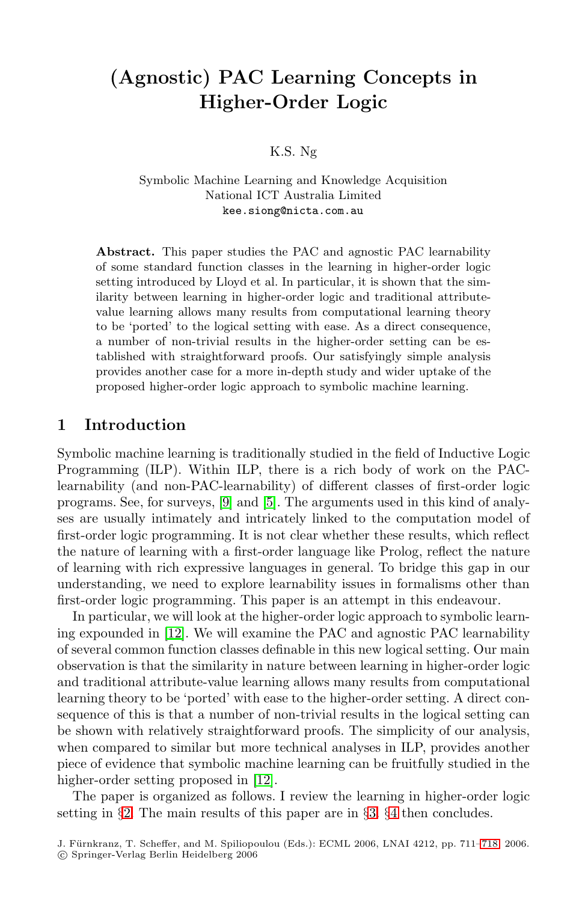# **(Agnostic) PAC Learning Concepts in Higher-Order Logic**

# K.S. Ng

Symbolic Machine Learning and Knowledge Acquisition National ICT Australia Limited kee.siong@nicta.com.au

**Abstract.** This paper studies the PAC and agnostic PAC learnability of some standard function classes in the learning in higher-order logic setting introduced by Lloyd et al. In particular, it is shown that the similarity between learning in higher-order logic and traditional attributevalue learning allows many results from computational learning theory to be 'ported' to the logical setting with ease. As a direct consequence, a number of non-trivial results in the higher-order setting can be established with straightforward proofs. Our satisfyingly simple analysis pr[ov](#page-7-0)ides a[no](#page-7-1)ther case for a more in-depth study and wider uptake of the proposed higher-order logic approach to symbolic machine learning.

## **1 Introduction**

Symbolic machine learning is traditionally studied in the field of Inductive Logic Programming (ILP). Within ILP, there is a rich body of work on the PAClearnability (and non-PAC-learnability) of different classes of first-order logic [pro](#page-7-2)grams. See, for surveys, [9] and [5]. The arguments used in this kind of analyses are usually intimately and intricately linked to the computation model of first-order logic programming. It is not clear whether these results, which reflect the nature of learning with a first-order language like Prolog, reflect the nature of learning with rich expressive languages in general. To bridge this gap in our understanding, we need to explore learnability issues in formalisms other than first-order logic programming. This paper is an attempt in this endeavour.

In particular, we will look at the higher-order logic approach to symbolic learning expounded in [12]. We will examine the PAC and agnostic PAC learnability of several com[mon](#page-7-2) function classes definable in this new logical setting. Our main observation is that the similarity in nature between learning in higher-order logic and traditional attribute-value le[arn](#page-4-0)i[ng](#page-6-0) allows many results from computational learning theory to be 'ported' with ease to the higher-order setting. A direct consequence of this is that a number of non-trivial resu[lts i](#page-7-3)n the logical setting can be shown with relatively straightforward proofs. The simplicity of our analysis, when compared to similar but more technical analyses in ILP, provides another piece of evidence that symbolic machine learning can be fruitfully studied in the higher-order setting proposed in [12].

The paper is organized as follows. I review the learning in higher-order logic setting in §2. The main results of this paper are in §3. §4 then concludes.

J. Fürnkranz, T. Scheffer, and M. Spiliopoulou (Eds.): ECML 2006, LNAI 4212, pp. 711–718, 2006. -c Springer-Verlag Berlin Heidelberg 2006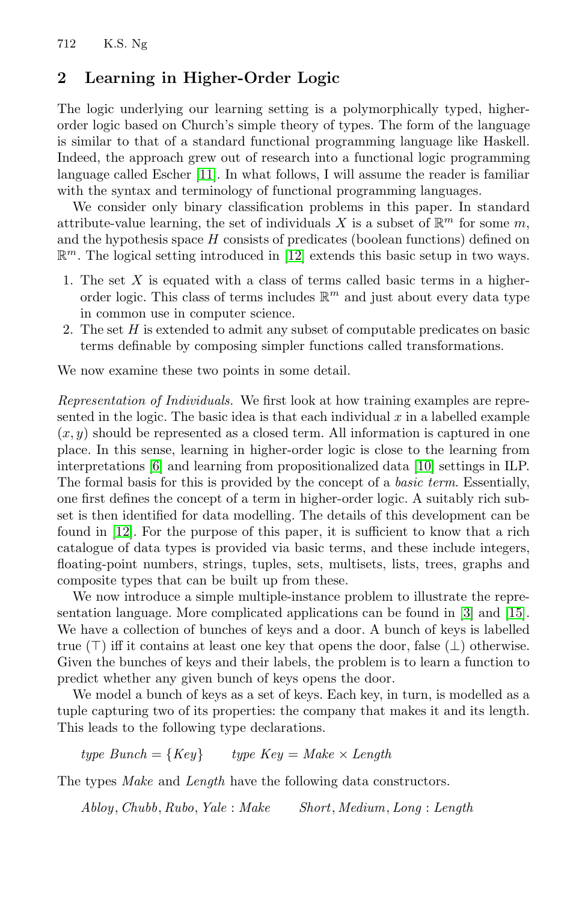# **2 Learning in Higher-Order Logic**

The logic underlying our learning setting is a polymorphically typed, higherorder logic based o[n C](#page-7-2)hurch's simple theory of types. The form of the language is similar to that of a standard functional programming language like Haskell. Indeed, the approach grew out of research into a functional logic programming language called Escher [11]. In what follows, I will assume the reader is familiar with the syntax and terminology of functional programming languages.

We consider only binary classification problems in this paper. In standard attribute-value learning, the set of individuals X is a subset of  $\mathbb{R}^m$  for some m, and the hypothesis space  $H$  consists of predicates (boolean functions) defined on  $\mathbb{R}^m$ . The logical setting introduced in [12] extends this basic setup in two ways.

- 1. The set  $X$  is equated with a class of terms called basic terms in a higherorder logic. This class of terms includes  $\mathbb{R}^m$  and just about every data type in common use in computer science.
- 2. The set H is extended to admit any subset of computable predicates on basic terms definable by composing simple[r](#page-7-5) [fu](#page-7-5)nctions called transformations.

We now examine these two points in some detail.

Representation of Individuals. We first look at how training examples are represented in the logic. The basic idea is that each individual  $x$  in a labelled example  $(x, y)$  should be represented as a closed term. All information is captured in one place. In this sense, learning in higher-order logic is close to the learning from interpretations [6] and learning from propositionalized data [10] settings in ILP. The formal basis for this is provided by the conc[ept](#page-7-6) of a [bas](#page-7-7)ic term. Essentially, one first defines the concept of a term in higher-order logic. A suitably rich subset is then identified for data modelling. The details of this development can be found in [12]. For the purpose of this paper, it is sufficient to know that a rich catalogue of data types is provided via basic terms, and these include integers, floating-point numbers, strings, tuples, sets, multisets, lists, trees, graphs and composite types that can be built up from these.

We now introduce a simple multiple-instance problem to illustrate the representation language. More complicated applications can be found in [3] and [15]. We have a collection of bunches of keys and a door. A bunch of keys is labelled true  $(\top)$  iff it contains at least one key that opens the door, false  $(\bot)$  otherwise. Given the bunches of keys and their labels, the problem is to learn a function to predict whether any given bunch of keys opens the door.

We model a bunch of keys as a set of keys. Each key, in turn, is modelled as a tuple capturing two of its properties: the company that makes it and its length. This leads to the following type declarations.

type Bunch =  $\{Key\}$  type  $Key = Make \times Length$ 

The types *Make* and *Length* have the following data constructors.

Abloy, Chubb, Rubo, Yale : Make Short, Medium, Long : Length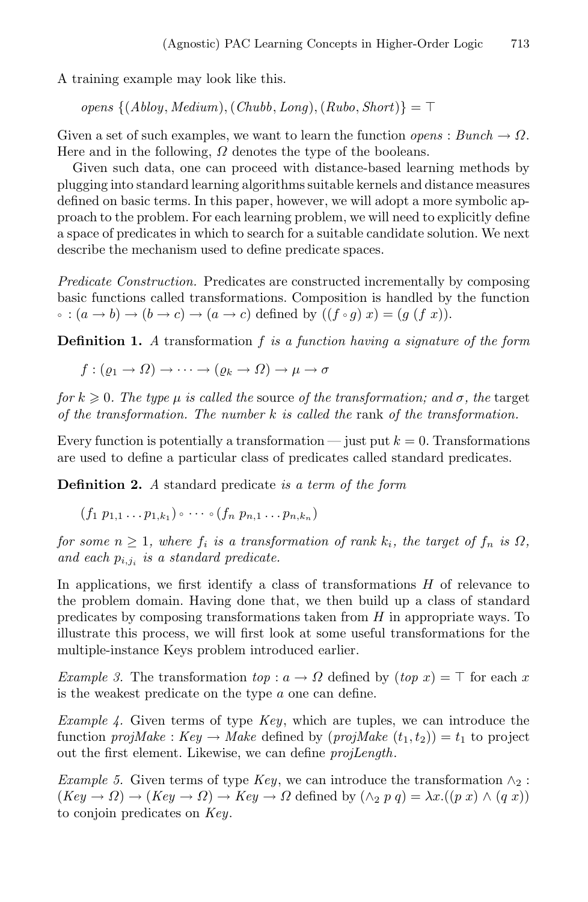A training example may look like this.

```
opens \{(Abloy, Medium), (Chubb, Long), (Rubo, Short)\} = \top
```
Given a set of such examples, we want to learn the function *opens* :  $Bunch \rightarrow \Omega$ . Here and in the following,  $\Omega$  denotes the type of the booleans.

Given such data, one can proceed with distance-based learning methods by plugging into standard learning algorithms suitable kernels and distance measures defined on basic terms. In this paper, however, we will adopt a more symbolic approach to the problem. For each learning problem, we will need to explicitly define a space of predicates in which to search for a suitable candidate solution. We next describe the mechanism used to define predicate spaces.

Predicate Construction. Predicates are constructed incrementally by composing basic functions called transformations. Composition is handled by the function  $\circ : (a \to b) \to (b \to c) \to (a \to c)$  defined by  $((f \circ g) x) = (g (f x))$ .

**Definition 1.** A transformation f is a function having a signature of the form

 $f : (\rho_1 \to \Omega) \to \cdots \to (\rho_k \to \Omega) \to \mu \to \sigma$ 

for  $k \geqslant 0$ . The type  $\mu$  is called the source of the transformation; and  $\sigma$ , the target of the transformation. The number  $k$  is called the rank of the transformation.

Every function is potentially a transformation — just put  $k = 0$ . Transformations are used to define a particular class of predicates called standard predicates.

**Definition 2.** A standard predicate is a term of the form

$$
(f_1 p_{1,1} \ldots p_{1,k_1}) \circ \cdots \circ (f_n p_{n,1} \ldots p_{n,k_n})
$$

for some  $n \geq 1$ , where  $f_i$  is a transformation of rank  $k_i$ , the target of  $f_n$  is  $\Omega$ , and each  $p_{i,j_i}$  is a standard predicate.

In applications, we first identify a class of transformations H of relevance to the problem domain. Having done that, we then build up a class of standard predicates by composing transformations taken from H in appropriate ways. To illustrate this process, we will first look at some useful transformations for the multiple-instance Keys problem introduced earlier.

*Example 3.* The transformation  $top: a \to \Omega$  defined by  $(top x) = \top$  for each x is the weakest predicate on the type a one can define.

*Example 4.* Given terms of type  $Key$ , which are tuples, we can introduce the function projMake : Key  $\rightarrow$  Make defined by  $(propMake (t_1, t_2)) = t_1$  to project out the first element. Likewise, we can define projLength.

Example 5. Given terms of type Key, we can introduce the transformation  $\wedge_2$ :  $(Key \to \Omega) \to (Key \to \Omega) \to Key \to \Omega$  defined by  $(\wedge_2 p q) = \lambda x.((p x) \wedge (q x))$ to conjoin predicates on Key.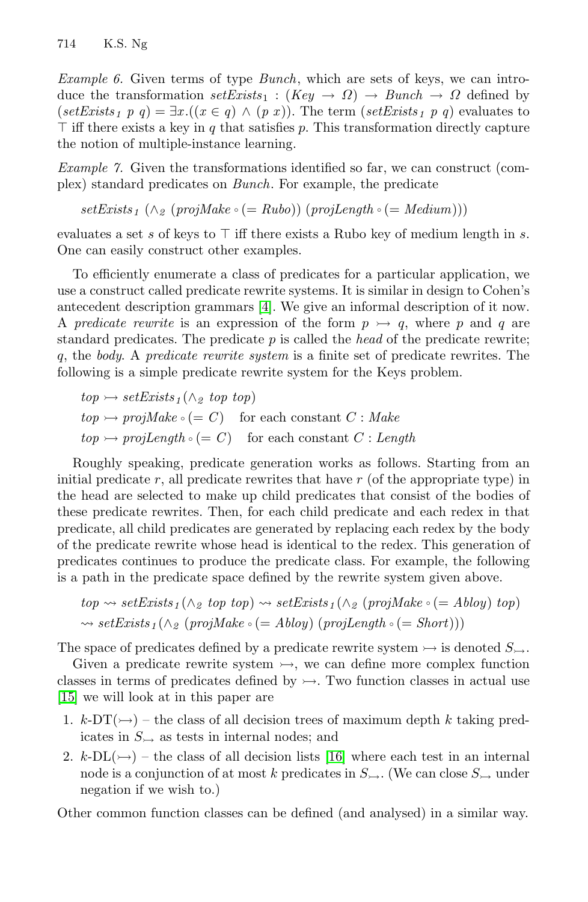Example 6. Given terms of type Bunch, which are sets of keys, we can introduce the transformation  $setExists_1 : (Key \rightarrow \Omega) \rightarrow Bunch \rightarrow \Omega$  defined by (setExists<sub>1</sub> p q) =  $\exists x . ((x \in q) \land (p x))$ . The term (setExists<sub>1</sub> p q) evaluates to  $\top$  iff there exists a key in q that satisfies p. This transformation directly capture the notion of multiple-instance learning.

Example 7. Given the transformations identified so far, we can construct (complex) standard [pr](#page-7-8)edicates on Bunch. For example, the predicate

 $setExists_1 (\land_2 (projMake \circ (= Rubo)) (projLength \circ (= Medium)))$ 

evaluates a set s of keys to  $\top$  iff there exists a Rubo key of medium length in s. One can easily construct other examples.

To efficiently enumerate a class of predicates for a particular application, we use a construct called predicate rewrite systems. It is similar in design to Cohen's antecedent description grammars [4]. We give an informal description of it now. A predicate rewrite is an expression of the form  $p \rightarrow q$ , where p and q are standard predicates. The predicate  $p$  is called the head of the predicate rewrite; q, the body. A predicate rewrite system is a finite set of predicate rewrites. The following is a simple predicate rewrite system for the Keys problem.

 $top \rightarrow setExists_1(\wedge_2 \text{ top top})$  $top \rightarrow projMake \circ (= C)$  for each constant  $C : Make$  $top \rightarrow projLength \circ (= C)$  for each constant  $C: Length$ 

Roughly speaking, predicate generation works as follows. Starting from an initial predicate  $r$ , all predicate rewrites that have  $r$  (of the appropriate type) in the head are selected to make up child predicates that consist of the bodies of these predicate rewrites. Then, for each child predicate and each redex in that predicate, all child predicates are generated by replacing each redex by the body of the predicate rewrite whose head is identical to the redex. This generation of predicates continues to produce the predicate class. For example, the following is a path in the predicate space defined by the rewrite system given above.

 $top \rightsquigarrow setE xists_1(\wedge_2 top top) \rightsquigarrow setE xists_1(\wedge_2 (projMake \circ (= Abloy) top)$  $\rightsquigarrow setExists_1(\wedge_{\mathcal{P}} (projMake \circ (= Abloy) (projLength \circ (= Short)))$  $\rightsquigarrow setExists_1(\wedge_{\mathcal{P}} (projMake \circ (= Abloy) (projLength \circ (= Short)))$  $\rightsquigarrow setExists_1(\wedge_{\mathcal{P}} (projMake \circ (= Abloy) (projLength \circ (= Short)))$ 

The space of predicates defined by a predicate rewrite system  $\rightarrow$  is denoted  $S_{\rightarrow}$ .

Given a predicate rewrite system  $\rightarrow$ , we can define more complex function classes in terms of predicates defined by  $\rightarrow$ . Two function classes in actual use [15] we will look at in this paper are

- 1.  $k$ -DT( $\rightarrow$ ) the class of all decision trees of maximum depth k taking predicates in  $S_{\rightarrow}$  as tests in internal nodes; and
- 2. k-DL( $\rightarrow$ ) the class of all decision lists [16] where each test in an internal node is a conjunction of at most k predicates in  $S_{\rightarrow}$ . (We can close  $S_{\rightarrow}$  under negation if we wish to.)

Other common function classes can be defined (and analysed) in a similar way.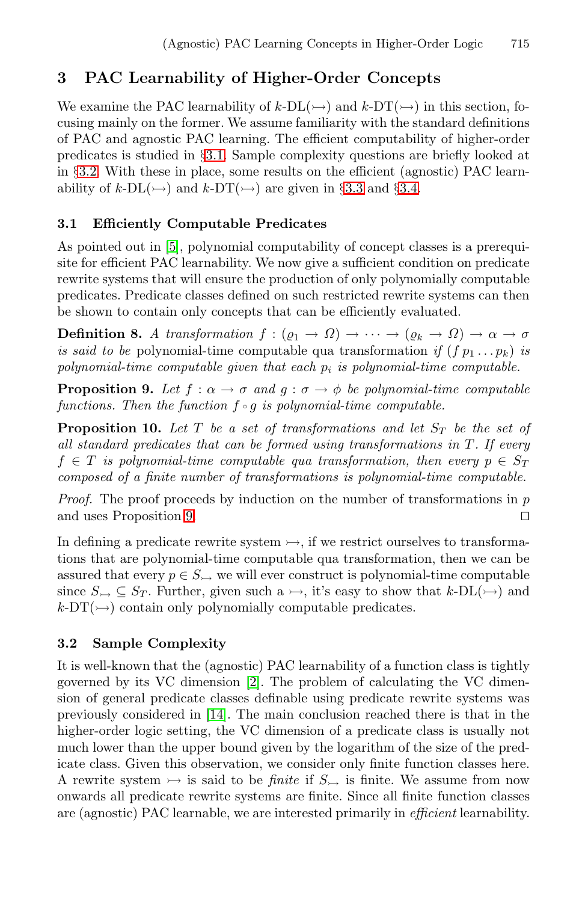# <span id="page-4-0"></span>**3 PAC Learnability of Higher-Order Concepts**

We examine the PAC learnability of  $k$ -DL( $\rightarrow$ ) and  $k$ -DT( $\rightarrow$ ) in this section, fo[cu](#page-7-1)sing mainly on the former. We assume familiarity with the standard definitions of PAC and agnostic PAC learning. The efficient computability of higher-order predicates is studied in §3.1. Sample complexity questions are briefly looked at in §3.2. With these in place, some results on the efficient (agnostic) PAC learnability of k-DL( $\rightarrow$ ) and k-DT( $\rightarrow$ ) are given in §3.3 and §3.4.

# <span id="page-4-2"></span>**3.1 Efficiently Computable Predicates**

<span id="page-4-1"></span>As pointed out in [5], polynomial computability of concept classes is a prerequisite for efficient PAC learnability. We now give a sufficient condition on predicate rewrite systems that will ensure the production of only polynomially computable predicates. Predicate classes defined on such restricted rewrite systems can then be shown to contain only concepts that can be efficiently evaluated.

**Definition 8.** A transformation  $f : (\varrho_1 \to \Omega) \to \cdots \to (\varrho_k \to \Omega) \to \alpha \to \sigma$ is said to be polynomial-time computable qua transformation if  $(f p_1 ... p_k)$  is polynomial-time computable given that each  $p_i$  is polynomial-time computable.

**P[ro](#page-4-1)position 9.** Let  $f : \alpha \to \sigma$  and  $g : \sigma \to \phi$  be polynomial-time computable functions. Then the function  $f \circ g$  is polynomial-time computable.

**Proposition 10.** Let  $T$  be a set of transformations and let  $S_T$  be the set of all standard predicates that can be formed using transformations in  $T$ . If every  $f \in T$  is polynomial-time computable qua transformation, then every  $p \in S_T$ composed of a finite number of transformations is polynomial-time computable.

*Proof.* The proof proceeds by induction on the number of transformations in p and uses Proposition 9. 

In defining a predicate rewrite system  $\rightarrow$ , if we restrict ourselves to transformations that ar[e](#page-7-10) [p](#page-7-10)olynomial-time computable qua transformation, then we can be assured that every  $p \in S_{\rightarrow}$  we will ever construct is polynomial-time computable since  $S_{\rightarrow} \subseteq S_T$ . Further, given such a  $\rightarrow$ , it's easy to show that  $k\text{-DL}(\rightarrow)$  and  $k$ -DT( $\rightarrow$ ) contain only polynomially computable predicates.

## **3.2 Sample Complexity**

It is well-known that the (agnostic) PAC learnability of a function class is tightly governed by its VC dimension [2]. The problem of calculating the VC dimension of general predicate classes definable using predicate rewrite systems was previously considered in [14]. The main conclusion reached there is that in the higher-order logic setting, the VC dimension of a predicate class is usually not much lower than the upper bound given by the logarithm of the size of the predicate class. Given this observation, we consider only finite function classes here. A rewrite system  $\rightarrow$  is said to be *finite* if  $S_{\rightarrow}$  is finite. We assume from now onwards all predicate rewrite systems are finite. Since all finite function classes are (agnostic) PAC learnable, we are interested primarily in efficient learnability.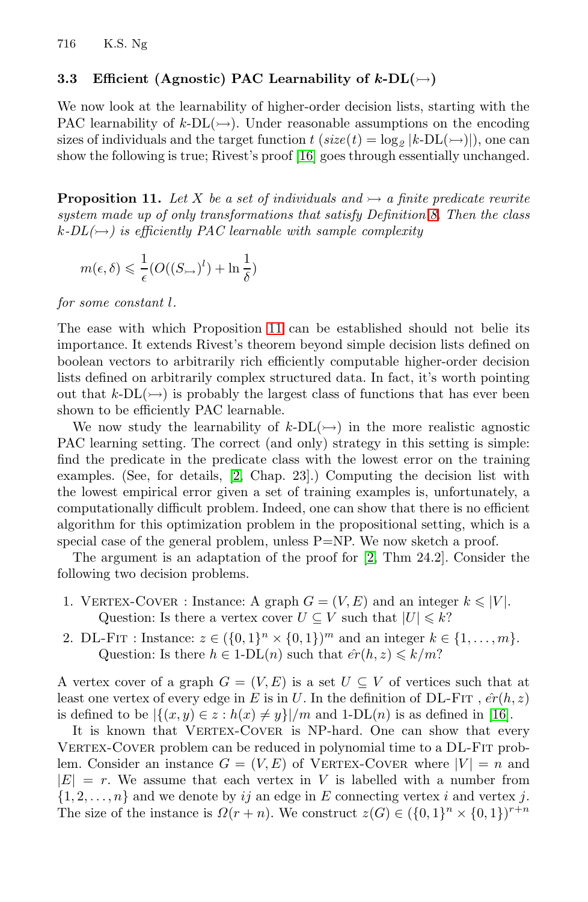#### <span id="page-5-0"></span>**3.3** Efficient (Agnostic) PAC Learn[abi](#page-4-2)lity of  $k$ -DL $(\rightarrow)$

We now look at the learnability of higher-order decision lists, starting with the PAC learnability of  $k$ -DL( $\rightarrow$ ). Under reasonable assumptions on the encoding sizes of individuals and the target function  $t$  (size(t) =  $\log_e |k-\text{DL}(\rightarrow)|$ ), one can show the following is true; Rivest's proof [16] goes through essentially unchanged.

**Proposition 1[1.](#page-5-0)** Let X be a set of individuals and  $\rightarrow$  a finite predicate rewrite system made up of only transformations that satisfy Definition 8. Then the class  $k\n-DL(\rightarrow)$  is efficiently PAC learnable with sample complexity

$$
m(\epsilon,\delta) \leqslant \frac{1}{\epsilon} (O((S_{\rightarrow})^l) + \ln \frac{1}{\delta})
$$

for some constant l.

The ease with which Proposition 11 can be established should not belie its importanc[e.](#page-7-10) It extends Rivest's theorem beyond simple decision lists defined on boolean vectors to arbitrarily rich efficiently computable higher-order decision lists defined on arbitrarily complex structured data. In fact, it's worth pointing out that k-DL( $\rightarrow$ ) is probably the largest class of functions that has ever been shown to be efficiently PAC learnable.

We now study the learnabili[ty](#page-7-10) of  $k-\text{DL}(\rightarrow)$  in the more realistic agnostic PAC learning setting. The correct (and only) strategy in this setting is simple: find the predicate in the predicate class with the lowest error on the training examples. (See, for details, [2, Chap. 23].) Computing the decision list with the lowest empirical error given a set of training examples is, unfortunately, a computationally difficult problem. Indeed, one can show that there is no efficient algorithm for this optimization problem in the propositional setting, which is a special case of the general problem, unless  $P=NP$ . We now sketch a proof.

The argument is an adaptation of the proof for [2, Thm 24.2]. Consider the following two decision problems.

- 1. VERTEX-COVER : Instance: A graph  $G = (V, E)$  and an integer  $k \leq |V|$ . Question: Is there a vertex cover  $U \subseteq V$  such that  $|U| \leq k$ ?
- 2. DL-FIT : Instance:  $z \in (\{0,1\}^n \times \{0,1\})^m$  and an integer  $k \in \{1, ..., m\}$ . Question: Is there  $h \in 1$ -DL $(n)$  such that  $\hat{er}(h,z) \leq k/m$ ?

A vertex cover of a graph  $G = (V, E)$  is a set  $U \subseteq V$  of vertices such that at least one vertex of every edge in E is in U. In the definition of DL-FIT,  $\hat{er}(h,z)$ is defined to be  $|\{(x,y) \in z : h(x) \neq y\}|/m$  and 1-DL(n) is as defined in [16].

It is known that VERTEX-COVER is NP-hard. One can show that every VERTEX-COVER problem can be reduced in polynomial time to a DL-FIT problem. Consider an instance  $G = (V, E)$  of VERTEX-COVER where  $|V| = n$  and  $|E| = r$ . We assume that each vertex in V is labelled with a number from  $\{1, 2, \ldots, n\}$  and we denote by ij an edge in E connecting vertex i and vertex j. The size of the instance is  $\Omega(r+n)$ . We construct  $z(G) \in (\{0,1\}^n \times \{0,1\})^{r+n}$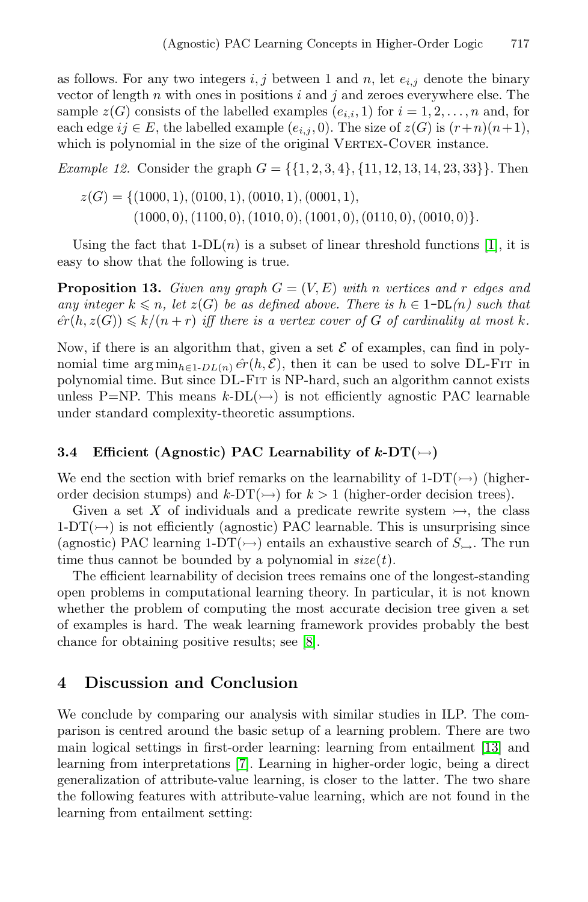as follows. For any two integers  $i, j$  between 1 and n, let  $e_{i,j}$  denote the binary vector of length  $n$  with ones in positions  $i$  and  $j$  and zeroes everywhere else. The sample  $z(G)$  consists of the labelled examples  $(e_{i,i}, 1)$  [fo](#page-7-12)r  $i = 1, 2, ..., n$  and, for each edge  $ij \in E$ , the labelled example  $(e_{i,j}, 0)$ . The size of  $z(G)$  is  $(r+n)(n+1)$ , which is polynomial in the size of the original VERTEX-COVER instance.

*Example 12.* Consider the graph  $G = \{\{1, 2, 3, 4\}, \{11, 12, 13, 14, 23, 33\}\}\.$  Then

$$
z(G) = \{ (1000, 1), (0100, 1), (0010, 1), (0001, 1), (0001, 1), (1000, 0), (1100, 0), (1010, 0), (1001, 0), (0110, 0), (0010, 0) \}.
$$

Using the fact that  $1-DL(n)$  is a subset of linear threshold functions [1], it is easy to show that the following is true.

**Proposition 13.** Given any graph  $G = (V, E)$  with n vertices and r edges and any integer  $k \leq n$ , let  $z(G)$  be as defined above. There is  $h \in 1-DL(n)$  such that  $\hat{er}(h,z(G)) \leq k/(n+r)$  iff there is a vertex cover of G of cardinality at most k.

Now, if there is an algorithm that, given a set  $\mathcal E$  of examples, can find in polynomial time  $\arg \min_{h \in 1-DL(n)} \hat{er}(h, \mathcal{E})$ , then it can be used to solve DL-FIT in polynomial time. But since DL-Fit is NP-hard, such an algorithm cannot exists unless P=NP. This means  $k$ -DL( $\rightarrow$ ) is not efficiently agnostic PAC learnable under standard complexity-theoretic assumptions.

#### **3.4** Efficient (Agnostic) PAC Learnability of  $k$ -DT( $\rightarrow$ )

We end the section with brief remarks on the learnability of  $1-DT(\rightarrow)$  (higherorder decision stumps) and  $k$ -DT( $\rightarrow$ ) for  $k > 1$  (higher-order decision trees).

<span id="page-6-0"></span>Given a set X of i[nd](#page-7-13)ividuals and a predicate rewrite system  $\rightarrow$ , the class  $1-DT(\rightarrow)$  is not efficiently (agnostic) PAC learnable. This is unsurprising since (agnostic) PAC learning  $1-DT(\rightarrow)$  entails an exhaustive search of  $S_{\rightarrow}$ . The run time thus cannot be bounded by a polynomial in  $size(t)$ .

The efficient learnability of decision trees remains one of the longest-standing open problems in computational learning theory. In particular, it is not known whether the problem of computing the most accurate decision tree given a set of examples is hard. The weak learning framework [pro](#page-7-14)vides probably the best chance for [ob](#page-7-15)taining positive results; see [8].

## **4 Discussion and Conclusion**

We conclude by comparing our analysis with similar studies in ILP. The comparison is centred around the basic setup of a learning problem. There are two main logical settings in first-order learning: learning from entailment [13] and learning from interpretations [7]. Learning in higher-order logic, being a direct generalization of attribute-value learning, is closer to the latter. The two share the following features with attribute-value learning, which are not found in the learning from entailment setting: